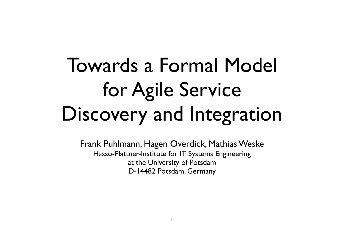### Towards a Formal Model for Agile Service Discovery and Integration

Frank Puhlmann, Hagen Overdick, Mathias Weske Hasso-Plattner-Institute for IT Systems Engineering at the University of Potsdam D-14482 Potsdam, Germany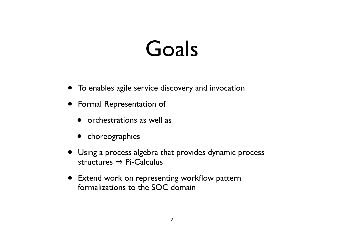#### Goals

- To enables agile service discovery and invocation
- Formal Representation of
	- orchestrations as well as
	- choreographies
- Using a process algebra that provides dynamic process structures  $\Rightarrow$  Pi-Calculus
- Extend work on representing workflow pattern formalizations to the SOC domain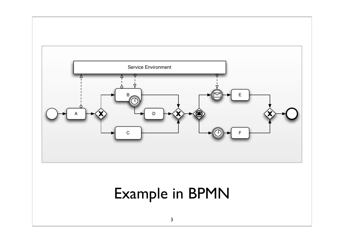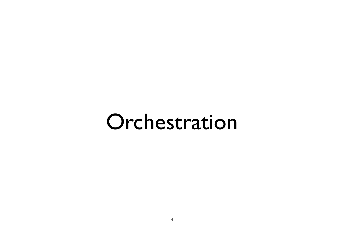#### Orchestration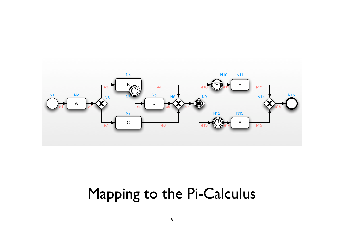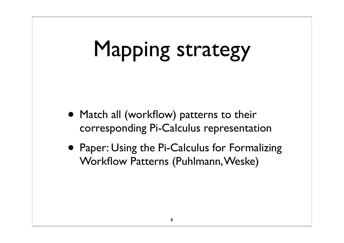## Mapping strategy

- Match all (workflow) patterns to their corresponding Pi-Calculus representation
- Paper: Using the Pi-Calculus for Formalizing Workflow Patterns (Puhlmann, Weske)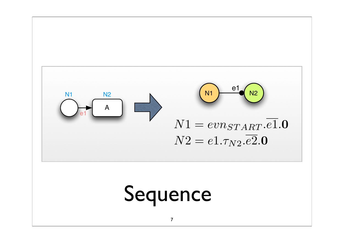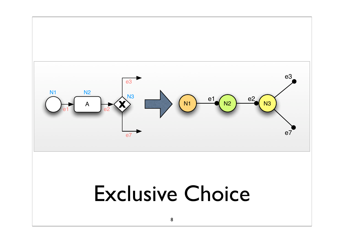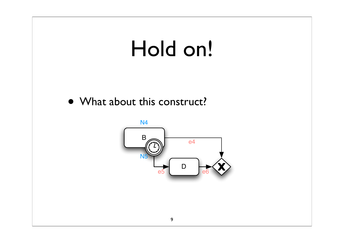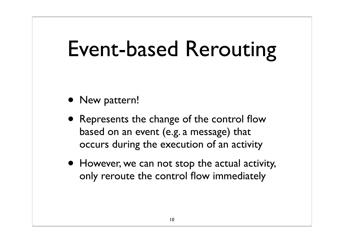### Event-based Rerouting

- New pattern!
- Represents the change of the control flow based on an event (e.g. a message) that occurs during the execution of an activity
- However, we can not stop the actual activity, only reroute the control flow immediately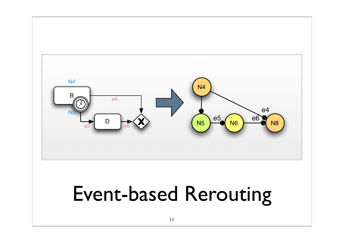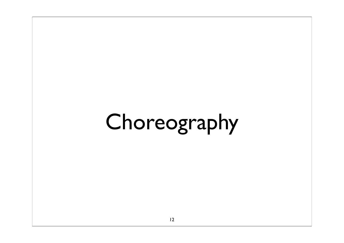# Choreography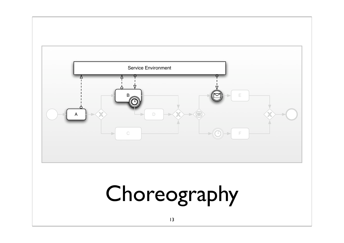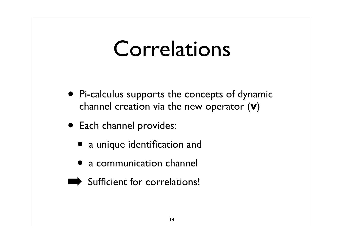#### Correlations

- Pi-calculus supports the concepts of dynamic channel creation via the new operator (**v**)
- Each channel provides:
	- a unique identification and
	- a communication channel
- Sufficient for correlations!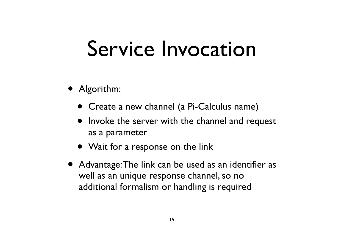#### Service Invocation

- Algorithm:
	- Create a new channel (a Pi-Calculus name)
	- Invoke the server with the channel and request as a parameter
	- Wait for a response on the link
- Advantage: The link can be used as an identifier as well as an unique response channel, so no additional formalism or handling is required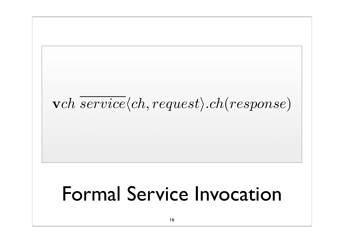Formal Service Invocation 16  $\overline{verb} (ch, request).ch (response)$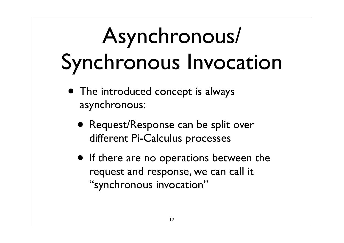# Asynchronous/ Synchronous Invocation

- The introduced concept is always asynchronous:
	- Request/Response can be split over different Pi-Calculus processes
	- If there are no operations between the request and response, we can call it "synchronous invocation"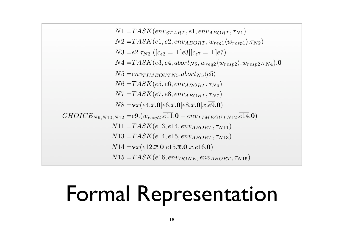$N1 = TASK(env_{STAT}, e1, env_{ABORT}, \tau_{N1})$  $N2 = TASK(e1, e2, env_{ABORT}, \overline{w_{req1}}(w_{resp1}).\tau_{N2})$  $N3 = e^{2.7}N3.([c_{e3} = \top] \overline{e3} | [c_{e7} = \top] \overline{e7})$  $N4 = TASK(e3, e4, abort_{N5}, \overline{w_{req2}} \langle w_{resp2} \rangle w_{resp2}. \tau_{N4}).$  $N5 = env_{TIMEOUTNS}.$  $\overline{abort_{N5}}\langle e5\rangle$  $N6 = TASK(e5, e6, env_{ABORT}, \tau_{N6})$  $N7 = TASK(e7, e8, env_{ABORT}, \tau_{N7})$  $N8 = \mathbf{v}x(e4.\overline{x}.0|e6.\overline{x}.0|e8.\overline{x}.0|x.\overline{e9}.0)$  $CHOICE_{N9,N10,N12} = e9.(w_{resp2}.e11.0 + env_{TIMEOUTN12}.e14.0)$  $N11 = TASK(e13, e14, env_{ABORT}, \tau_{N11})$  $N13 = TASK(e14, e15, env_{ABORT}, \tau_{N13})$  $N14 = \mathbf{v}x(e12.\overline{x}.0|e15.\overline{x}.0|x.\overline{e16}.0)$  $N15 = TASK(e16, env_{DONE}, env_{ABORT}, \tau_{N15})$ 

#### Formal Representation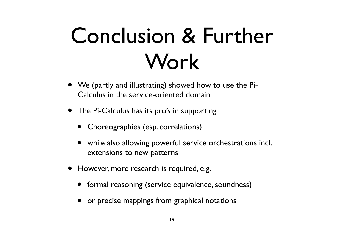## Conclusion & Further Work

- We (partly and illustrating) showed how to use the Pi-Calculus in the service-oriented domain
- The Pi-Calculus has its pro's in supporting
	- Choreographies (esp. correlations)
	- while also allowing powerful service orchestrations incl. extensions to new patterns
- However, more research is required, e.g.
	- formal reasoning (service equivalence, soundness)
	- or precise mappings from graphical notations